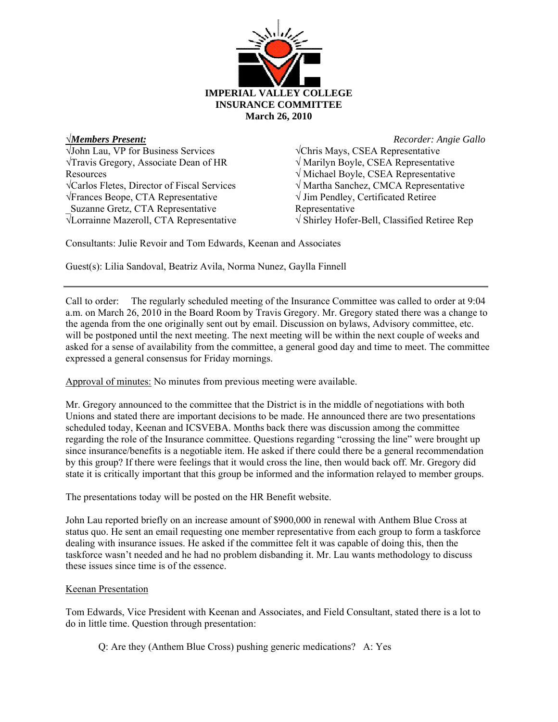

√John Lau, VP for Business Services √Travis Gregory, Associate Dean of HR Resources √Carlos Fletes, Director of Fiscal Services √Frances Beope, CTA Representative \_Suzanne Gretz, CTA Representative √Lorrainne Mazeroll, CTA Representative

√*Members Present: Recorder: Angie Gallo*  √Chris Mays, CSEA Representative √ Marilyn Boyle, CSEA Representative √ Michael Boyle, CSEA Representative √ Martha Sanchez, CMCA Representative √ Jim Pendley, Certificated Retiree Representative √ Shirley Hofer-Bell, Classified Retiree Rep

Consultants: Julie Revoir and Tom Edwards, Keenan and Associates

Guest(s): Lilia Sandoval, Beatriz Avila, Norma Nunez, Gaylla Finnell

Call to order: The regularly scheduled meeting of the Insurance Committee was called to order at 9:04 a.m. on March 26, 2010 in the Board Room by Travis Gregory. Mr. Gregory stated there was a change to the agenda from the one originally sent out by email. Discussion on bylaws, Advisory committee, etc. will be postponed until the next meeting. The next meeting will be within the next couple of weeks and asked for a sense of availability from the committee, a general good day and time to meet. The committee expressed a general consensus for Friday mornings.

Approval of minutes: No minutes from previous meeting were available.

Mr. Gregory announced to the committee that the District is in the middle of negotiations with both Unions and stated there are important decisions to be made. He announced there are two presentations scheduled today, Keenan and ICSVEBA. Months back there was discussion among the committee regarding the role of the Insurance committee. Questions regarding "crossing the line" were brought up since insurance/benefits is a negotiable item. He asked if there could there be a general recommendation by this group? If there were feelings that it would cross the line, then would back off. Mr. Gregory did state it is critically important that this group be informed and the information relayed to member groups.

The presentations today will be posted on the HR Benefit website.

John Lau reported briefly on an increase amount of \$900,000 in renewal with Anthem Blue Cross at status quo. He sent an email requesting one member representative from each group to form a taskforce dealing with insurance issues. He asked if the committee felt it was capable of doing this, then the taskforce wasn't needed and he had no problem disbanding it. Mr. Lau wants methodology to discuss these issues since time is of the essence.

## Keenan Presentation

Tom Edwards, Vice President with Keenan and Associates, and Field Consultant, stated there is a lot to do in little time. Question through presentation:

Q: Are they (Anthem Blue Cross) pushing generic medications? A: Yes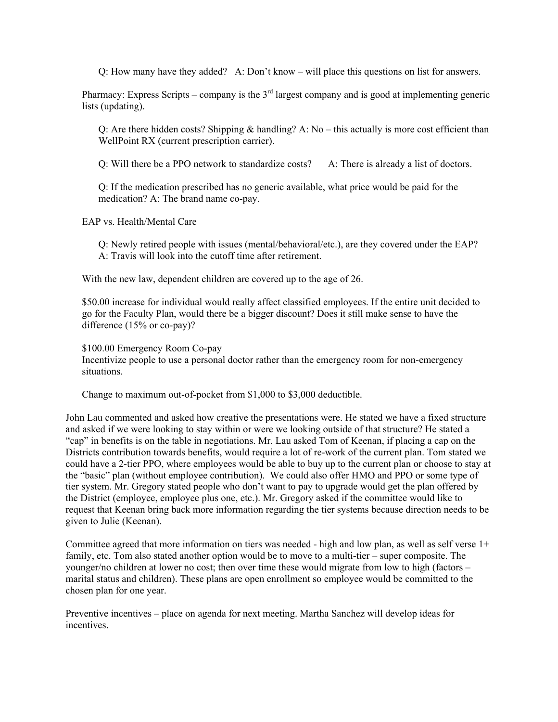Q: How many have they added? A: Don't know – will place this questions on list for answers.

Pharmacy: Express Scripts – company is the  $3<sup>rd</sup>$  largest company and is good at implementing generic lists (updating).

Q: Are there hidden costs? Shipping  $\&$  handling? A: No – this actually is more cost efficient than WellPoint RX (current prescription carrier).

Q: Will there be a PPO network to standardize costs? A: There is already a list of doctors.

Q: If the medication prescribed has no generic available, what price would be paid for the medication? A: The brand name co-pay.

EAP vs. Health/Mental Care

Q: Newly retired people with issues (mental/behavioral/etc.), are they covered under the EAP? A: Travis will look into the cutoff time after retirement.

With the new law, dependent children are covered up to the age of 26.

\$50.00 increase for individual would really affect classified employees. If the entire unit decided to go for the Faculty Plan, would there be a bigger discount? Does it still make sense to have the difference (15% or co-pay)?

\$100.00 Emergency Room Co-pay

Incentivize people to use a personal doctor rather than the emergency room for non-emergency situations.

Change to maximum out-of-pocket from \$1,000 to \$3,000 deductible.

John Lau commented and asked how creative the presentations were. He stated we have a fixed structure and asked if we were looking to stay within or were we looking outside of that structure? He stated a "cap" in benefits is on the table in negotiations. Mr. Lau asked Tom of Keenan, if placing a cap on the Districts contribution towards benefits, would require a lot of re-work of the current plan. Tom stated we could have a 2-tier PPO, where employees would be able to buy up to the current plan or choose to stay at the "basic" plan (without employee contribution). We could also offer HMO and PPO or some type of tier system. Mr. Gregory stated people who don't want to pay to upgrade would get the plan offered by the District (employee, employee plus one, etc.). Mr. Gregory asked if the committee would like to request that Keenan bring back more information regarding the tier systems because direction needs to be given to Julie (Keenan).

Committee agreed that more information on tiers was needed - high and low plan, as well as self verse 1+ family, etc. Tom also stated another option would be to move to a multi-tier – super composite. The younger/no children at lower no cost; then over time these would migrate from low to high (factors – marital status and children). These plans are open enrollment so employee would be committed to the chosen plan for one year.

Preventive incentives – place on agenda for next meeting. Martha Sanchez will develop ideas for incentives.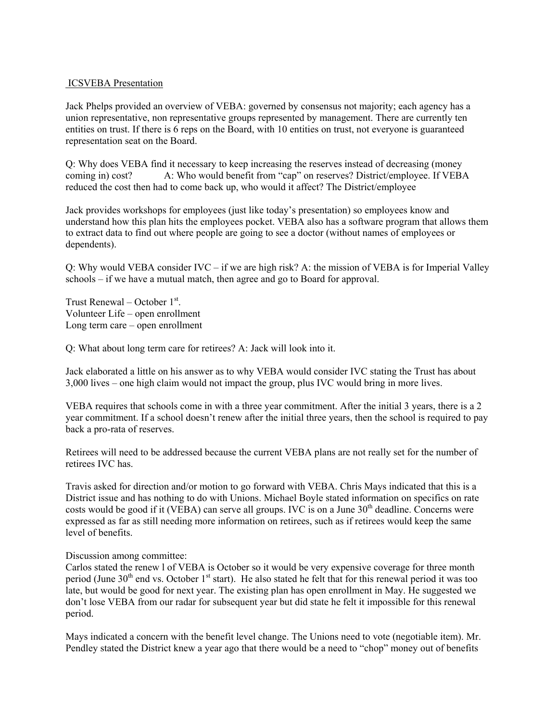## ICSVEBA Presentation

Jack Phelps provided an overview of VEBA: governed by consensus not majority; each agency has a union representative, non representative groups represented by management. There are currently ten entities on trust. If there is 6 reps on the Board, with 10 entities on trust, not everyone is guaranteed representation seat on the Board.

Q: Why does VEBA find it necessary to keep increasing the reserves instead of decreasing (money coming in) cost? A: Who would benefit from "cap" on reserves? District/employee. If VEBA reduced the cost then had to come back up, who would it affect? The District/employee

Jack provides workshops for employees (just like today's presentation) so employees know and understand how this plan hits the employees pocket. VEBA also has a software program that allows them to extract data to find out where people are going to see a doctor (without names of employees or dependents).

Q: Why would VEBA consider IVC – if we are high risk? A: the mission of VEBA is for Imperial Valley schools – if we have a mutual match, then agree and go to Board for approval.

Trust Renewal – October 1<sup>st</sup>. Volunteer Life – open enrollment Long term care – open enrollment

Q: What about long term care for retirees? A: Jack will look into it.

Jack elaborated a little on his answer as to why VEBA would consider IVC stating the Trust has about 3,000 lives – one high claim would not impact the group, plus IVC would bring in more lives.

VEBA requires that schools come in with a three year commitment. After the initial 3 years, there is a 2 year commitment. If a school doesn't renew after the initial three years, then the school is required to pay back a pro-rata of reserves.

Retirees will need to be addressed because the current VEBA plans are not really set for the number of retirees IVC has.

Travis asked for direction and/or motion to go forward with VEBA. Chris Mays indicated that this is a District issue and has nothing to do with Unions. Michael Boyle stated information on specifics on rate costs would be good if it (VEBA) can serve all groups. IVC is on a June  $30<sup>th</sup>$  deadline. Concerns were expressed as far as still needing more information on retirees, such as if retirees would keep the same level of benefits.

## Discussion among committee:

Carlos stated the renew l of VEBA is October so it would be very expensive coverage for three month period (June  $30<sup>th</sup>$  end vs. October 1<sup>st</sup> start). He also stated he felt that for this renewal period it was too late, but would be good for next year. The existing plan has open enrollment in May. He suggested we don't lose VEBA from our radar for subsequent year but did state he felt it impossible for this renewal period.

Mays indicated a concern with the benefit level change. The Unions need to vote (negotiable item). Mr. Pendley stated the District knew a year ago that there would be a need to "chop" money out of benefits